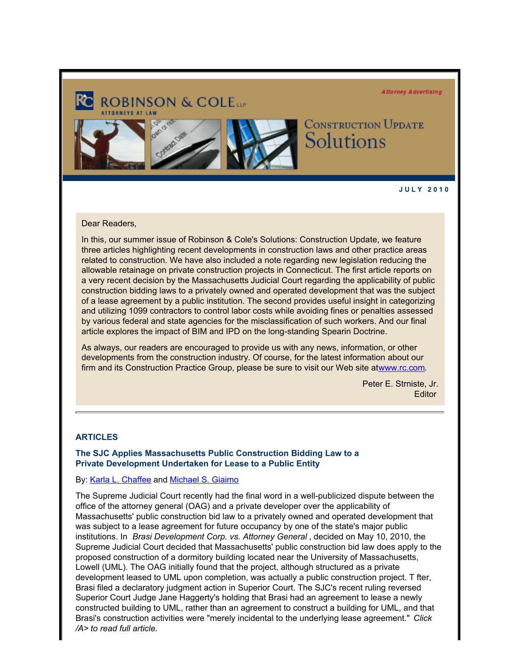**Attorney Advertising** 



**J U L Y 2 0 1 0** 

# Dear Readers,

In this, our summer issue of Robinson & Cole's Solutions: Construction Update, we feature three articles highlighting recent developments in construction laws and other practice areas related to construction. We have also included a note regarding new legislation reducing the allowable retainage on private construction projects in Connecticut. The first article reports on a very recent decision by the Massachusetts Judicial Court regarding the applicability of public construction bidding laws to a privately owned and operated development that was the subject of a lease agreement by a public institution. The second provides useful insight in categorizing and utilizing 1099 contractors to control labor costs while avoiding fines or penalties assessed by various federal and state agencies for the misclassification of such workers. And our final article explores the impact of BIM and IPD on the long-standing Spearin Doctrine.

As always, our readers are encouraged to provide us with any news, information, or other developments from the construction industry. Of course, for the latest information about our firm and its Construction Practice Group, please be sure to visit our Web site atwww.rc.com.

> Peter E. Strniste, Jr. **Editor**

#### **ARTICLES**

# **The SJC Applies Massachusetts Public Construction Bidding Law to a Private Development Undertaken for Lease to a Public Entity**

#### By: [Karla L. Chaffee](http://www.rc.com/?ju=fe2416777360057b711376&ls=fdeb10747163027b7d177372&m=fefb1671756c0d&l=fe941573716d077a75&s=fe191d757d600c7a751376&jb=ffcf14&t=) and [Michael S. Giaimo](http://www.rc.com/?ju=fe2316777360057b711377&ls=fdeb10747163027b7d177372&m=fefb1671756c0d&l=fe941573716d077a75&s=fe191d757d600c7a751376&jb=ffcf14&t=)

The Supreme Judicial Court recently had the final word in a well-publicized dispute between the office of the attorney general (OAG) and a private developer over the applicability of Massachusetts' public construction bid law to a privately owned and operated development that was subject to a lease agreement for future occupancy by one of the state's major public institutions. In *Brasi Development Corp. vs. Attorney General*, decided on May 10, 2010, the Supreme Judicial Court decided that Massachusetts' public construction bid law does apply to the proposed construction of a dormitory building located near the University of Massachusetts, Lowell (UML). The OAG initially found that the project, although structured as a private development leased to UML upon completion, was actually a public construction project. T fter, Brasi filed a declaratory judgment action in Superior Court. The SJC's recent ruling reversed Superior Court Judge Jane Haggerty's holding that Brasi had an agreement to lease a newly constructed building to UML, rather than an agreement to construct a building for UML, and that Brasi's construction activities were "merely incidental to the underlying lease agreement." *Click /A> to read full article.*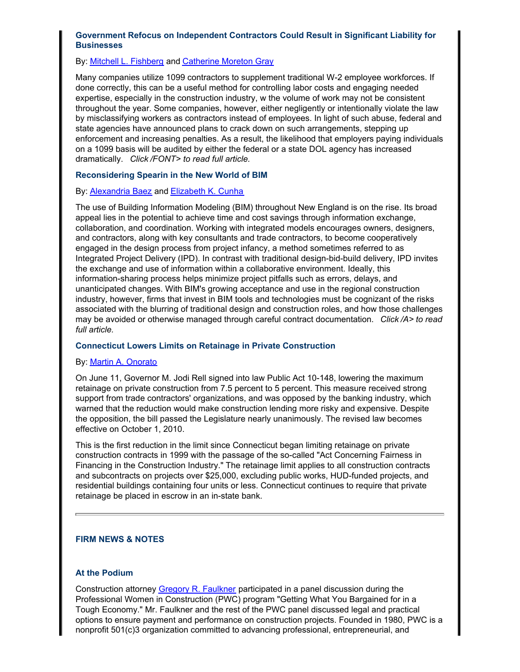# **Government Refocus on Independent Contractors Could Result in Significant Liability for Businesses**

# By: [Mitchell L. Fishberg](http://www.rc.com/?ju=fe2116777360057b711379&ls=fdeb10747163027b7d177372&m=fefb1671756c0d&l=fe941573716d077a75&s=fe191d757d600c7a751376&jb=ffcf14&t=) and [Catherine Moreton Gray](http://www.rc.com/?ju=fe2916777360057b711c70&ls=fdeb10747163027b7d177372&m=fefb1671756c0d&l=fe941573716d077a75&s=fe191d757d600c7a751376&jb=ffcf14&t=)

Many companies utilize 1099 contractors to supplement traditional W-2 employee workforces. If done correctly, this can be a useful method for controlling labor costs and engaging needed expertise, especially in the construction industry, w the volume of work may not be consistent throughout the year. Some companies, however, either negligently or intentionally violate the law by misclassifying workers as contractors instead of employees. In light of such abuse, federal and state agencies have announced plans to crack down on such arrangements, stepping up enforcement and increasing penalties. As a result, the likelihood that employers paying individuals on a 1099 basis will be audited by either the federal or a state DOL agency has increased dramatically. *Click /FONT> to read full article.*

# **Reconsidering Spearin in the New World of BIM**

# By: **Alexandria Baez** and **Elizabeth K. Cunha**

The use of Building Information Modeling (BIM) throughout New England is on the rise. Its broad appeal lies in the potential to achieve time and cost savings through information exchange, collaboration, and coordination. Working with integrated models encourages owners, designers, and contractors, along with key consultants and trade contractors, to become cooperatively engaged in the design process from project infancy, a method sometimes referred to as Integrated Project Delivery (IPD). In contrast with traditional design-bid-build delivery, IPD invites the exchange and use of information within a collaborative environment. Ideally, this information-sharing process helps minimize project pitfalls such as errors, delays, and unanticipated changes. With BIM's growing acceptance and use in the regional construction industry, however, firms that invest in BIM tools and technologies must be cognizant of the risks associated with the blurring of traditional design and construction roles, and how those challenges may be avoided or otherwise managed through careful contract documentation. *Click /A> to read full article.*

# **Connecticut Lowers Limits on Retainage in Private Construction**

# By: [Martin A. Onorato](http://www.rc.com/?ju=fe2416777360057b711c75&ls=fdeb10747163027b7d177372&m=fefb1671756c0d&l=fe941573716d077a75&s=fe191d757d600c7a751376&jb=ffcf14&t=)

On June 11, Governor M. Jodi Rell signed into law Public Act 10-148, lowering the maximum retainage on private construction from 7.5 percent to 5 percent. This measure received strong support from trade contractors' organizations, and was opposed by the banking industry, which warned that the reduction would make construction lending more risky and expensive. Despite the opposition, the bill passed the Legislature nearly unanimously. The revised law becomes effective on October 1, 2010.

This is the first reduction in the limit since Connecticut began limiting retainage on private construction contracts in 1999 with the passage of the so-called "Act Concerning Fairness in Financing in the Construction Industry." The retainage limit applies to all construction contracts and subcontracts on projects over \$25,000, excluding public works, HUD-funded projects, and residential buildings containing four units or less. Connecticut continues to require that private retainage be placed in escrow in an in-state bank.

# **FIRM NEWS & NOTES**

# **At the Podium**

Construction attorney [Gregory R. Faulkner](http://www.rc.com/?ju=fe2316777360057b711c76&ls=fdeb10747163027b7d177372&m=fefb1671756c0d&l=fe941573716d077a75&s=fe191d757d600c7a751376&jb=ffcf14&t=) participated in a panel discussion during the Professional Women in Construction (PWC) program "Getting What You Bargained for in a Tough Economy." Mr. Faulkner and the rest of the PWC panel discussed legal and practical options to ensure payment and performance on construction projects. Founded in 1980, PWC is a nonprofit 501(c)3 organization committed to advancing professional, entrepreneurial, and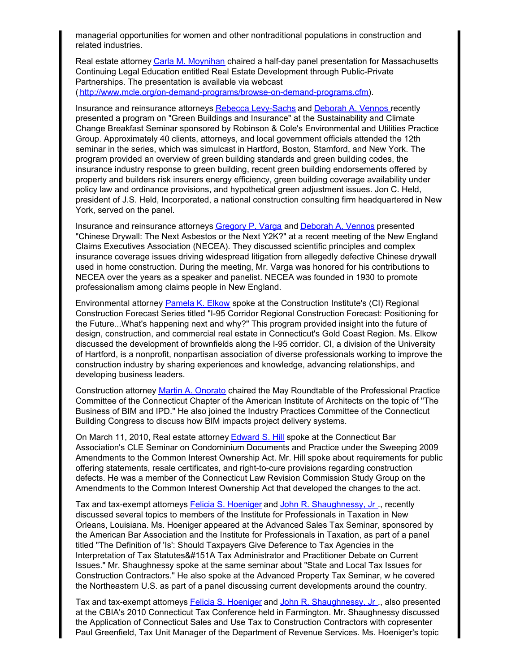managerial opportunities for women and other nontraditional populations in construction and related industries.

Real estate attorney [Carla M. Moynihan](http://www.rc.com/?ju=fe2216777360057b711c77&ls=fdeb10747163027b7d177372&m=fefb1671756c0d&l=fe941573716d077a75&s=fe191d757d600c7a751376&jb=ffcf14&t=) chaired a half-day panel presentation for Massachusetts Continuing Legal Education entitled Real Estate Development through Public-Private Partnerships. The presentation is available via webcast ([http://www.mcle.org/on-demand-programs/browse-on-demand-programs.cfm](http://www.rc.com/?ju=fe2116777360057b711c78&ls=fdeb10747163027b7d177372&m=fefb1671756c0d&l=fe941573716d077a75&s=fe191d757d600c7a751376&jb=ffcf14&t=)).

Insurance and reinsurance attorneys [Rebecca Levy-Sachs](http://www.rc.com/?ju=fe2016777360057b711c79&ls=fdeb10747163027b7d177372&m=fefb1671756c0d&l=fe941573716d077a75&s=fe191d757d600c7a751376&jb=ffcf14&t=) and [Deborah A. Vennos](http://www.rc.com/?ju=fe2716777360057b711d71&ls=fdeb10747163027b7d177372&m=fefb1671756c0d&l=fe941573716d077a75&s=fe191d757d600c7a751376&jb=ffcf14&t=) recently presented a program on "Green Buildings and Insurance" at the Sustainability and Climate Change Breakfast Seminar sponsored by Robinson & Cole's Environmental and Utilities Practice Group. Approximately 40 clients, attorneys, and local government officials attended the 12th seminar in the series, which was simulcast in Hartford, Boston, Stamford, and New York. The program provided an overview of green building standards and green building codes, the insurance industry response to green building, recent green building endorsements offered by property and builders risk insurers energy efficiency, green building coverage availability under policy law and ordinance provisions, and hypothetical green adjustment issues. Jon C. Held, president of J.S. Held, Incorporated, a national construction consulting firm headquartered in New York, served on the panel.

Insurance and reinsurance attorneys [Gregory P. Varga](http://www.rc.com/?ju=fe2616777360057b711d72&ls=fdeb10747163027b7d177372&m=fefb1671756c0d&l=fe941573716d077a75&s=fe191d757d600c7a751376&jb=ffcf14&t=) and [Deborah A. Vennos](http://www.rc.com/?ju=fe2716777360057b711d71&ls=fdeb10747163027b7d177372&m=fefb1671756c0d&l=fe941573716d077a75&s=fe191d757d600c7a751376&jb=ffcf14&t=) presented "Chinese Drywall: The Next Asbestos or the Next Y2K?" at a recent meeting of the New England Claims Executives Association (NECEA). They discussed scientific principles and complex insurance coverage issues driving widespread litigation from allegedly defective Chinese drywall used in home construction. During the meeting, Mr. Varga was honored for his contributions to NECEA over the years as a speaker and panelist. NECEA was founded in 1930 to promote professionalism among claims people in New England.

Environmental attorney [Pamela K. Elkow](http://www.rc.com/?ju=fe2516777360057b711d73&ls=fdeb10747163027b7d177372&m=fefb1671756c0d&l=fe941573716d077a75&s=fe191d757d600c7a751376&jb=ffcf14&t=) spoke at the Construction Institute's (CI) Regional Construction Forecast Series titled "I-95 Corridor Regional Construction Forecast: Positioning for the Future...What's happening next and why?" This program provided insight into the future of design, construction, and commercial real estate in Connecticut's Gold Coast Region. Ms. Elkow discussed the development of brownfields along the I-95 corridor. CI, a division of the University of Hartford, is a nonprofit, nonpartisan association of diverse professionals working to improve the construction industry by sharing experiences and knowledge, advancing relationships, and developing business leaders.

Construction attorney [Martin A. Onorato](http://www.rc.com/?ju=fe2416777360057b711c75&ls=fdeb10747163027b7d177372&m=fefb1671756c0d&l=fe941573716d077a75&s=fe191d757d600c7a751376&jb=ffcf14&t=) chaired the May Roundtable of the Professional Practice Committee of the Connecticut Chapter of the American Institute of Architects on the topic of "The Business of BIM and IPD." He also joined the Industry Practices Committee of the Connecticut Building Congress to discuss how BIM impacts project delivery systems.

On March 11, 2010, Real estate attorney **Edward S. Hill** spoke at the Connecticut Bar Association's CLE Seminar on Condominium Documents and Practice under the Sweeping 2009 Amendments to the Common Interest Ownership Act. Mr. Hill spoke about requirements for public offering statements, resale certificates, and right-to-cure provisions regarding construction defects. He was a member of the Connecticut Law Revision Commission Study Group on the Amendments to the Common Interest Ownership Act that developed the changes to the act.

Tax and tax-exempt attorneys [Felicia S. Hoeniger](http://www.rc.com/?ju=fe2316777360057b711d75&ls=fdeb10747163027b7d177372&m=fefb1671756c0d&l=fe941573716d077a75&s=fe191d757d600c7a751376&jb=ffcf14&t=) and [John R. Shaughnessy, Jr](http://www.rc.com/?ju=fe2216777360057b711d76&ls=fdeb10747163027b7d177372&m=fefb1671756c0d&l=fe941573716d077a75&s=fe191d757d600c7a751376&jb=ffcf14&t=) ., recently discussed several topics to members of the Institute for Professionals in Taxation in New Orleans, Louisiana. Ms. Hoeniger appeared at the Advanced Sales Tax Seminar, sponsored by the American Bar Association and the Institute for Professionals in Taxation, as part of a panel titled "The Definition of 'Is': Should Taxpayers Give Deference to Tax Agencies in the Interpretation of Tax Statutes&#151A Tax Administrator and Practitioner Debate on Current Issues." Mr. Shaughnessy spoke at the same seminar about "State and Local Tax Issues for Construction Contractors." He also spoke at the Advanced Property Tax Seminar, w he covered the Northeastern U.S. as part of a panel discussing current developments around the country.

Tax and tax-exempt attorneys [Felicia S. Hoeniger](http://www.rc.com/?ju=fe2316777360057b711d75&ls=fdeb10747163027b7d177372&m=fefb1671756c0d&l=fe941573716d077a75&s=fe191d757d600c7a751376&jb=ffcf14&t=) and John R. Shaughnessy, Jr., also presented at the CBIA's 2010 Connecticut Tax Conference held in Farmington. Mr. Shaughnessy discussed the Application of Connecticut Sales and Use Tax to Construction Contractors with copresenter Paul Greenfield, Tax Unit Manager of the Department of Revenue Services. Ms. Hoeniger's topic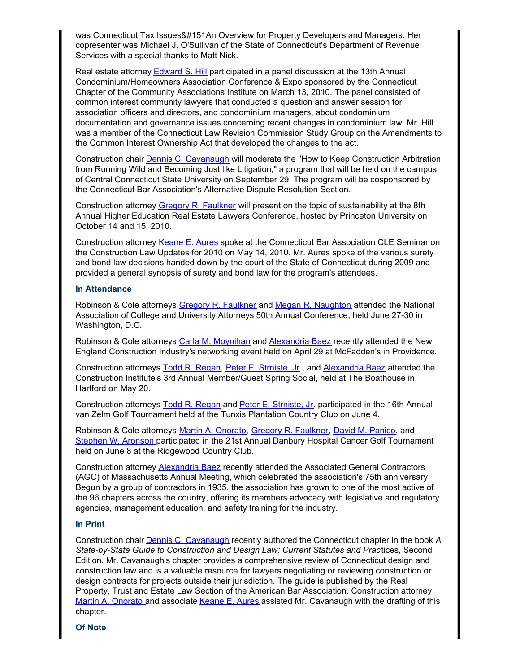was Connecticut Tax Issues&#151An Overview for Property Developers and Managers. Her copresenter was Michael J. O'Sullivan of the State of Connecticut's Department of Revenue Services with a special thanks to Matt Nick.

Real estate attorney [Edward S. Hill](http://www.rc.com/?ju=fe2416777360057b711d74&ls=fdeb10747163027b7d177372&m=fefb1671756c0d&l=fe941573716d077a75&s=fe191d757d600c7a751376&jb=ffcf14&t=) participated in a panel discussion at the 13th Annual Condominium/Homeowners Association Conference & Expo sponsored by the Connecticut Chapter of the Community Associations Institute on March 13, 2010. The panel consisted of common interest community lawyers that conducted a question and answer session for association officers and directors, and condominium managers, about condominium documentation and governance issues concerning recent changes in condominium law. Mr. Hill was a member of the Connecticut Law Revision Commission Study Group on the Amendments to the Common Interest Ownership Act that developed the changes to the act.

Construction chair [Dennis C. Cavanaugh](http://www.rc.com/?ju=fe2116777360057b711d77&ls=fdeb10747163027b7d177372&m=fefb1671756c0d&l=fe941573716d077a75&s=fe191d757d600c7a751376&jb=ffcf14&t=) will moderate the "How to Keep Construction Arbitration from Running Wild and Becoming Just like Litigation," a program that will be held on the campus of Central Connecticut State University on September 29. The program will be cosponsored by the Connecticut Bar Association's Alternative Dispute Resolution Section.

Construction attorney [Gregory R. Faulkner](http://www.rc.com/?ju=fe2316777360057b711c76&ls=fdeb10747163027b7d177372&m=fefb1671756c0d&l=fe941573716d077a75&s=fe191d757d600c7a751376&jb=ffcf14&t=) will present on the topic of sustainability at the 8th Annual Higher Education Real Estate Lawyers Conference, hosted by Princeton University on October 14 and 15, 2010.

Construction attorney [Keane E. Aures](http://www.rc.com/?ju=fe2016777360057b711d78&ls=fdeb10747163027b7d177372&m=fefb1671756c0d&l=fe941573716d077a75&s=fe191d757d600c7a751376&jb=ffcf14&t=) spoke at the Connecticut Bar Association CLE Seminar on the Construction Law Updates for 2010 on May 14, 2010. Mr. Aures spoke of the various surety and bond law decisions handed down by the court of the State of Connecticut during 2009 and provided a general synopsis of surety and bond law for the program's attendees.

### **In Attendance**

Robinson & Cole attorneys [Gregory R. Faulkner](http://www.rc.com/?ju=fe2316777360057b711c76&ls=fdeb10747163027b7d177372&m=fefb1671756c0d&l=fe941573716d077a75&s=fe191d757d600c7a751376&jb=ffcf14&t=) and [Megan R. Naughton](http://www.rc.com/?ju=fe1f16777360057b711d79&ls=fdeb10747163027b7d177372&m=fefb1671756c0d&l=fe941573716d077a75&s=fe191d757d600c7a751376&jb=ffcf14&t=) attended the National Association of College and University Attorneys 50th Annual Conference, held June 27-30 in Washington, D.C.

Robinson & Cole attorneys [Carla M. Moynihan](http://www.rc.com/?ju=fe2216777360057b711c77&ls=fdeb10747163027b7d177372&m=fefb1671756c0d&l=fe941573716d077a75&s=fe191d757d600c7a751376&jb=ffcf14&t=) and [Alexandria Baez](http://www.rc.com/?ju=fe2716777360057b711c72&ls=fdeb10747163027b7d177372&m=fefb1671756c0d&l=fe941573716d077a75&s=fe191d757d600c7a751376&jb=ffcf14&t=) recently attended the New England Construction Industry's networking event held on April 29 at McFadden's in Providence.

Construction attorneys [Todd R. Regan](http://www.rc.com/?ju=fe3016777360057b701470&ls=fdeb10747163027b7d177372&m=fefb1671756c0d&l=fe941573716d077a75&s=fe191d757d600c7a751376&jb=ffcf14&t=), [Peter E. Strniste, Jr](http://www.rc.com/?ju=fe2f16777360057b701471&ls=fdeb10747163027b7d177372&m=fefb1671756c0d&l=fe941573716d077a75&s=fe191d757d600c7a751376&jb=ffcf14&t=)., and [Alexandria Baez](http://www.rc.com/?ju=fe2716777360057b711c72&ls=fdeb10747163027b7d177372&m=fefb1671756c0d&l=fe941573716d077a75&s=fe191d757d600c7a751376&jb=ffcf14&t=) attended the Construction Institute's 3rd Annual Member/Guest Spring Social, held at The Boathouse in Hartford on May 20.

Construction attorneys [Todd R. Regan](http://www.rc.com/?ju=fe3016777360057b701470&ls=fdeb10747163027b7d177372&m=fefb1671756c0d&l=fe941573716d077a75&s=fe191d757d600c7a751376&jb=ffcf14&t=) and [Peter E. Strniste, Jr](http://www.rc.com/?ju=fe2f16777360057b701471&ls=fdeb10747163027b7d177372&m=fefb1671756c0d&l=fe941573716d077a75&s=fe191d757d600c7a751376&jb=ffcf14&t=). participated in the 16th Annual van Zelm Golf Tournament held at the Tunxis Plantation Country Club on June 4.

Robinson & Cole attorneys [Martin A. Onorato](http://www.rc.com/?ju=fe2416777360057b711c75&ls=fdeb10747163027b7d177372&m=fefb1671756c0d&l=fe941573716d077a75&s=fe191d757d600c7a751376&jb=ffcf14&t=), [Gregory R. Faulkner](http://www.rc.com/?ju=fe2316777360057b711c76&ls=fdeb10747163027b7d177372&m=fefb1671756c0d&l=fe941573716d077a75&s=fe191d757d600c7a751376&jb=ffcf14&t=), [David M. Panico](http://www.rc.com/?ju=fe2e16777360057b701472&ls=fdeb10747163027b7d177372&m=fefb1671756c0d&l=fe941573716d077a75&s=fe191d757d600c7a751376&jb=ffcf14&t=), and [Stephen W. Aronson](http://www.rc.com/?ju=fe2d16777360057b701473&ls=fdeb10747163027b7d177372&m=fefb1671756c0d&l=fe941573716d077a75&s=fe191d757d600c7a751376&jb=ffcf14&t=) participated in the 21st Annual Danbury Hospital Cancer Golf Tournament held on June 8 at the Ridgewood Country Club.

Construction attorney [Alexandria Baez](http://www.rc.com/?ju=fe2716777360057b711c72&ls=fdeb10747163027b7d177372&m=fefb1671756c0d&l=fe941573716d077a75&s=fe191d757d600c7a751376&jb=ffcf14&t=) recently attended the Associated General Contractors (AGC) of Massachusetts Annual Meeting, which celebrated the association's 75th anniversary. Begun by a group of contractors in 1935, the association has grown to one of the most active of the 96 chapters across the country, offering its members advocacy with legislative and regulatory agencies, management education, and safety training for the industry.

#### **In Print**

Construction chair [Dennis C. Cavanaugh](http://www.rc.com/?ju=fe2116777360057b711d77&ls=fdeb10747163027b7d177372&m=fefb1671756c0d&l=fe941573716d077a75&s=fe191d757d600c7a751376&jb=ffcf14&t=) recently authored the Connecticut chapter in the book *A State-by-State Guide to Construction and Design Law: Current Statutes and Prac*tices, Second Edition. Mr. Cavanaugh's chapter provides a comprehensive review of Connecticut design and construction law and is a valuable resource for lawyers negotiating or reviewing construction or design contracts for projects outside their jurisdiction. The guide is published by the Real Property, Trust and Estate Law Section of the American Bar Association. Construction attorney [Martin A. Onorato](http://www.rc.com/?ju=fe2416777360057b711c75&ls=fdeb10747163027b7d177372&m=fefb1671756c0d&l=fe941573716d077a75&s=fe191d757d600c7a751376&jb=ffcf14&t=) and associate [Keane E. Aures](http://www.rc.com/?ju=fe2016777360057b711d78&ls=fdeb10747163027b7d177372&m=fefb1671756c0d&l=fe941573716d077a75&s=fe191d757d600c7a751376&jb=ffcf14&t=) assisted Mr. Cavanaugh with the drafting of this chapter.

**Of Note**